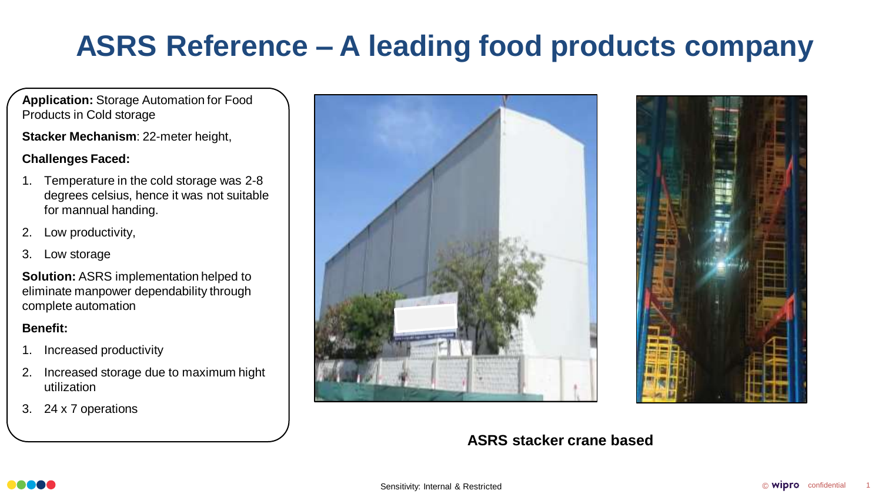# **ASRS Reference – A leading food products company**

**Application:** Storage Automation for Food Products in Cold storage

**Stacker Mechanism**: 22-meter height,

### **Challenges Faced:**

- 1. Temperature in the cold storage was 2-8 degrees celsius, hence it was not suitable for mannual handing.
- 2. Low productivity,
- 3. Low storage

**Solution:** ASRS implementation helped to eliminate manpower dependability through complete automation

### **Benefit:**

- 1. Increased productivity
- 2. Increased storage due to maximum hight utilization
- 3. 24 x 7 operations





### **ASRS stacker crane based**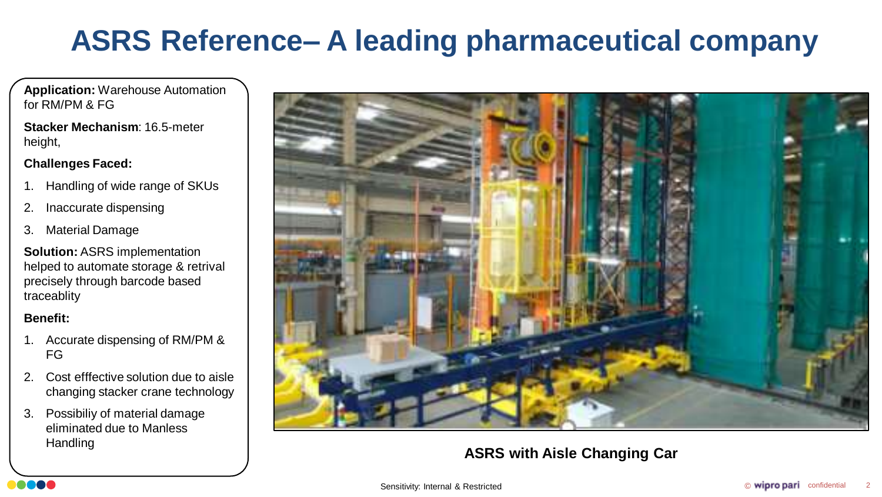# **ASRS Reference– A leading pharmaceutical company**

**Application:** Warehouse Automation for RM/PM & FG

**Stacker Mechanism**: 16.5-meter height,

### **Challenges Faced:**

- 1. Handling of wide range of SKUs
- 2. Inaccurate dispensing
- 3. Material Damage

**Solution:** ASRS implementation helped to automate storage & retrival precisely through barcode based traceablity

### **Benefit:**

- 1. Accurate dispensing of RM/PM & FG
- 2. Cost efffective solution due to aisle changing stacker crane technology
- 3. Possibiliy of material damage eliminated due to Manless Handling



## **ASRS with Aisle Changing Car**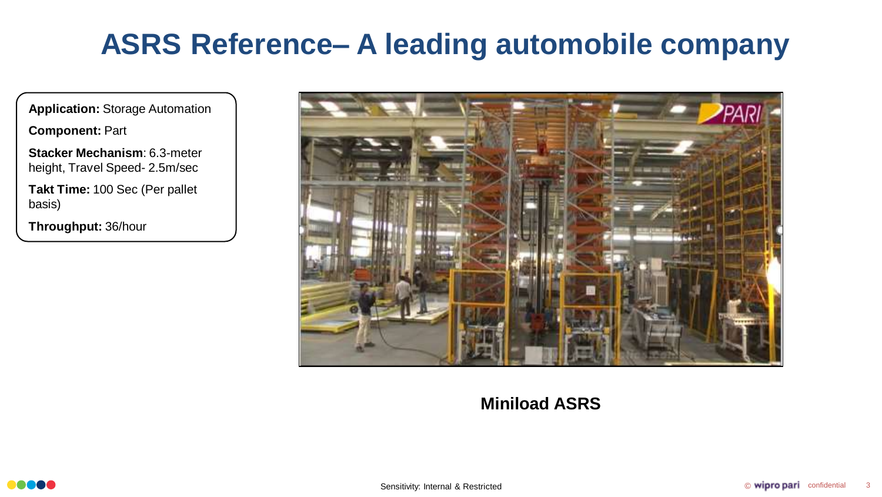# **ASRS Reference– A leading automobile company**

**Application:** Storage Automation

**Component:** Part

**Stacker Mechanism**: 6.3-meter height, Travel Speed- 2.5m/sec

**Takt Time:** 100 Sec (Per pallet basis)

**Throughput:** 36/hour



# **Miniload ASRS**